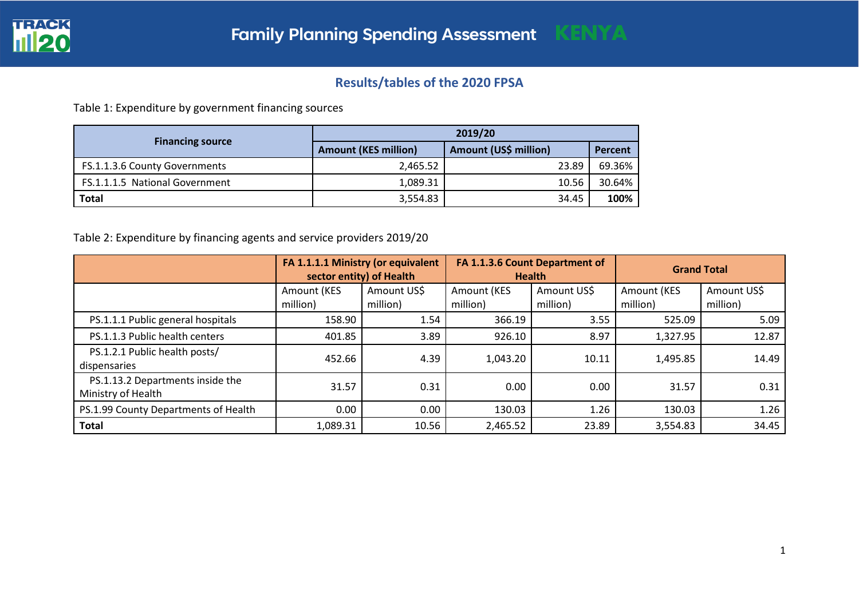## **Results/tables of the 2020 FPSA**

Table 1: Expenditure by government financing sources

|                                | 2019/20                     |                       |         |  |  |  |  |
|--------------------------------|-----------------------------|-----------------------|---------|--|--|--|--|
| <b>Financing source</b>        | <b>Amount (KES million)</b> | Amount (US\$ million) | Percent |  |  |  |  |
| FS.1.1.3.6 County Governments  | 2,465.52                    | 23.89                 | 69.36%  |  |  |  |  |
| FS.1.1.1.5 National Government | 1,089.31                    | 10.56                 | 30.64%  |  |  |  |  |
| <b>Total</b>                   | 3,554.83                    | 34.45                 | 100%    |  |  |  |  |

## Table 2: Expenditure by financing agents and service providers 2019/20

|                                                        |                         | FA 1.1.1.1 Ministry (or equivalent<br>sector entity) of Health | <b>Health</b>           | FA 1.1.3.6 Count Department of | <b>Grand Total</b>      |                         |  |
|--------------------------------------------------------|-------------------------|----------------------------------------------------------------|-------------------------|--------------------------------|-------------------------|-------------------------|--|
|                                                        | Amount (KES<br>million) | Amount US\$<br>million)                                        | Amount (KES<br>million) | Amount US\$<br>million)        | Amount (KES<br>million) | Amount US\$<br>million) |  |
| PS.1.1.1 Public general hospitals                      | 158.90                  | 1.54                                                           | 366.19                  | 3.55                           | 525.09                  | 5.09                    |  |
| PS.1.1.3 Public health centers                         | 401.85                  | 3.89                                                           | 926.10                  | 8.97                           | 1,327.95                | 12.87                   |  |
| PS.1.2.1 Public health posts/<br>dispensaries          | 452.66                  | 4.39                                                           | 1,043.20                | 10.11                          | 1,495.85                | 14.49                   |  |
| PS.1.13.2 Departments inside the<br>Ministry of Health | 31.57                   | 0.31                                                           | 0.00                    | 0.00                           | 31.57                   | 0.31                    |  |
| PS.1.99 County Departments of Health                   | 0.00                    | 0.00                                                           | 130.03                  | 1.26                           | 130.03                  | 1.26                    |  |
| <b>Total</b>                                           | 1,089.31                | 10.56                                                          | 2,465.52                | 23.89                          | 3,554.83                | 34.45                   |  |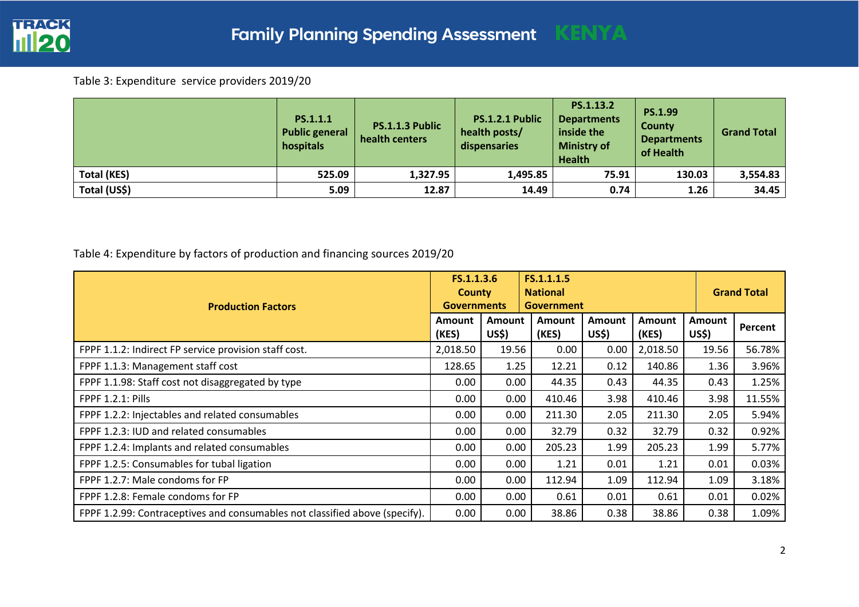

## Table 3: Expenditure service providers 2019/20

|                    | PS.1.1.1<br><b>Public general</b><br>hospitals | PS.1.1.3 Public<br>health centers | PS.1.2.1 Public<br>health posts/<br>dispensaries | PS.1.13.2<br><b>Departments</b><br>inside the<br><b>Ministry of</b><br><b>Health</b> | <b>PS.1.99</b><br><b>County</b><br><b>Departments</b><br>of Health | <b>Grand Total</b> |
|--------------------|------------------------------------------------|-----------------------------------|--------------------------------------------------|--------------------------------------------------------------------------------------|--------------------------------------------------------------------|--------------------|
| <b>Total (KES)</b> | 525.09                                         | 1,327.95                          | 1,495.85                                         | 75.91                                                                                | 130.03                                                             | 3,554.83           |
| Total (US\$)       | 5.09                                           | 12.87                             | 14.49                                            | 0.74                                                                                 | 1.26                                                               | 34.45              |

Table 4: Expenditure by factors of production and financing sources 2019/20

| <b>Production Factors</b>                                                   |          | FS.1.1.3.6<br><b>County</b><br><b>Governments</b> | FS.1.1.1.5<br><b>National</b><br><b>Government</b> |                        |                        |                 | <b>Grand Total</b> |  |
|-----------------------------------------------------------------------------|----------|---------------------------------------------------|----------------------------------------------------|------------------------|------------------------|-----------------|--------------------|--|
|                                                                             |          | <b>Amount</b><br>US\$)                            | <b>Amount</b><br>(KES)                             | <b>Amount</b><br>US\$) | <b>Amount</b><br>(KES) | Amount<br>US\$) | Percent            |  |
| FPPF 1.1.2: Indirect FP service provision staff cost.                       | 2,018.50 | 19.56                                             | 0.00                                               | 0.00                   | 2,018.50               | 19.56           | 56.78%             |  |
| FPPF 1.1.3: Management staff cost                                           | 128.65   | 1.25                                              | 12.21                                              | 0.12                   | 140.86                 | 1.36            | 3.96%              |  |
| FPPF 1.1.98: Staff cost not disaggregated by type                           | 0.00     | 0.00                                              | 44.35                                              | 0.43                   | 44.35                  | 0.43            | 1.25%              |  |
| <b>FPPF 1.2.1: Pills</b>                                                    | 0.00     | 0.00                                              | 410.46                                             | 3.98                   | 410.46                 | 3.98            | 11.55%             |  |
| FPPF 1.2.2: Injectables and related consumables                             | 0.00     | 0.00                                              | 211.30                                             | 2.05                   | 211.30                 | 2.05            | 5.94%              |  |
| FPPF 1.2.3: IUD and related consumables                                     | 0.00     | 0.00                                              | 32.79                                              | 0.32                   | 32.79                  | 0.32            | 0.92%              |  |
| FPPF 1.2.4: Implants and related consumables                                | 0.00     | 0.00                                              | 205.23                                             | 1.99                   | 205.23                 | 1.99            | 5.77%              |  |
| FPPF 1.2.5: Consumables for tubal ligation                                  | 0.00     | 0.00                                              | 1.21                                               | 0.01                   | 1.21                   | 0.01            | 0.03%              |  |
| FPPF 1.2.7: Male condoms for FP                                             | 0.00     | 0.00                                              | 112.94                                             | 1.09                   | 112.94                 | 1.09            | 3.18%              |  |
| FPPF 1.2.8: Female condoms for FP                                           | 0.00     | 0.00                                              | 0.61                                               | 0.01                   | 0.61                   | 0.01            | 0.02%              |  |
| FPPF 1.2.99: Contraceptives and consumables not classified above (specify). | 0.00     | 0.00                                              | 38.86                                              | 0.38                   | 38.86                  | 0.38            | 1.09%              |  |